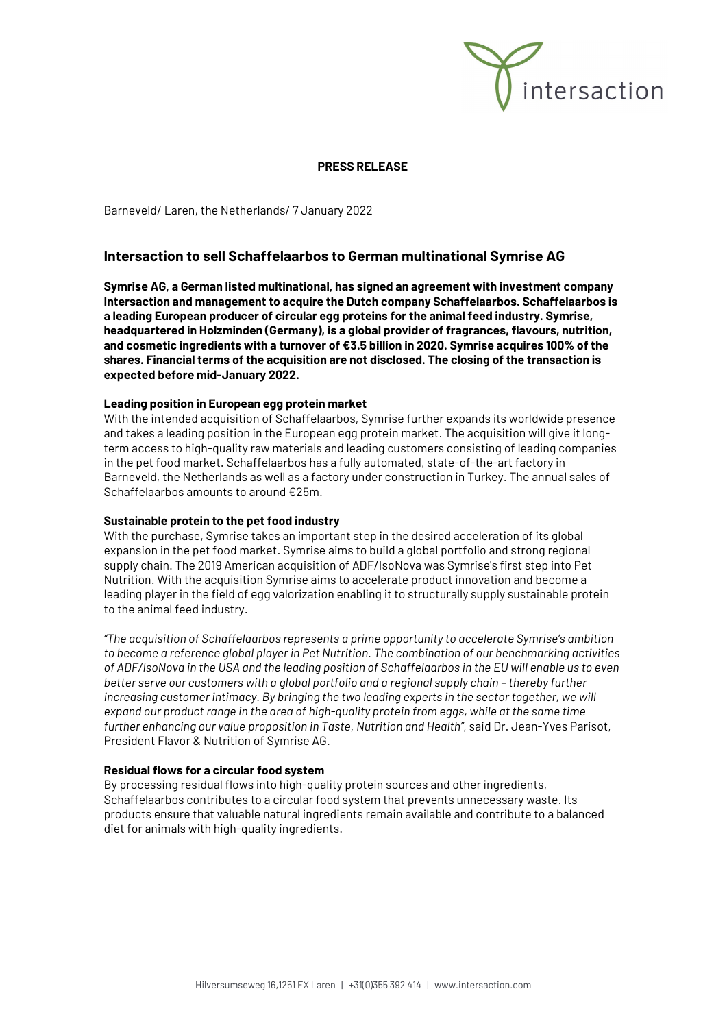

## **PRESS RELEASE**

Barneveld/ Laren, the Netherlands/ 7 January 2022

# **Intersaction to sell Schaffelaarbos to German multinational Symrise AG**

**Symrise AG, a German listed multinational, has signed an agreement with investment company Intersaction and management to acquire the Dutch company Schaffelaarbos. Schaffelaarbos is a leading European producer of circular egg proteins for the animal feed industry. Symrise, headquartered in Holzminden (Germany), is a global provider of fragrances, flavours, nutrition, and cosmetic ingredients with a turnover of €3.5 billion in 2020. Symrise acquires 100% of the shares. Financial terms of the acquisition are not disclosed. The closing of the transaction is expected before mid-January 2022.**

#### **Leading position in European egg protein market**

With the intended acquisition of Schaffelaarbos, Symrise further expands its worldwide presence and takes a leading position in the European egg protein market. The acquisition will give it longterm access to high-quality raw materials and leading customers consisting of leading companies in the pet food market. Schaffelaarbos has a fully automated, state-of-the-art factory in Barneveld, the Netherlands as well as a factory under construction in Turkey. The annual sales of Schaffelaarbos amounts to around €25m.

### **Sustainable protein to the pet food industry**

With the purchase, Symrise takes an important step in the desired acceleration of its global expansion in the pet food market. Symrise aims to build a global portfolio and strong regional supply chain. The 2019 American acquisition of ADF/IsoNova was Symrise's first step into Pet Nutrition. With the acquisition Symrise aims to accelerate product innovation and become a leading player in the field of egg valorization enabling it to structurally supply sustainable protein to the animal feed industry.

*"The acquisition of Schaffelaarbos represents a prime opportunity to accelerate Symrise's ambition to become a reference global player in Pet Nutrition. The combination of our benchmarking activities of ADF/IsoNova in the USA and the leading position of Schaffelaarbos in the EU will enable us to even better serve our customers with a global portfolio and a regional supply chain – thereby further increasing customer intimacy. By bringing the two leading experts in the sector together, we will* expand our product range in the area of high-quality protein from eggs, while at the same time *further enhancing our value proposition in Taste, Nutrition and Health",* said Dr. Jean-Yves Parisot, President Flavor & Nutrition of Symrise AG.

#### **Residual flows for a circular food system**

By processing residual flows into high-quality protein sources and other ingredients, Schaffelaarbos contributes to a circular food system that prevents unnecessary waste. Its products ensure that valuable natural ingredients remain available and contribute to a balanced diet for animals with high-quality ingredients.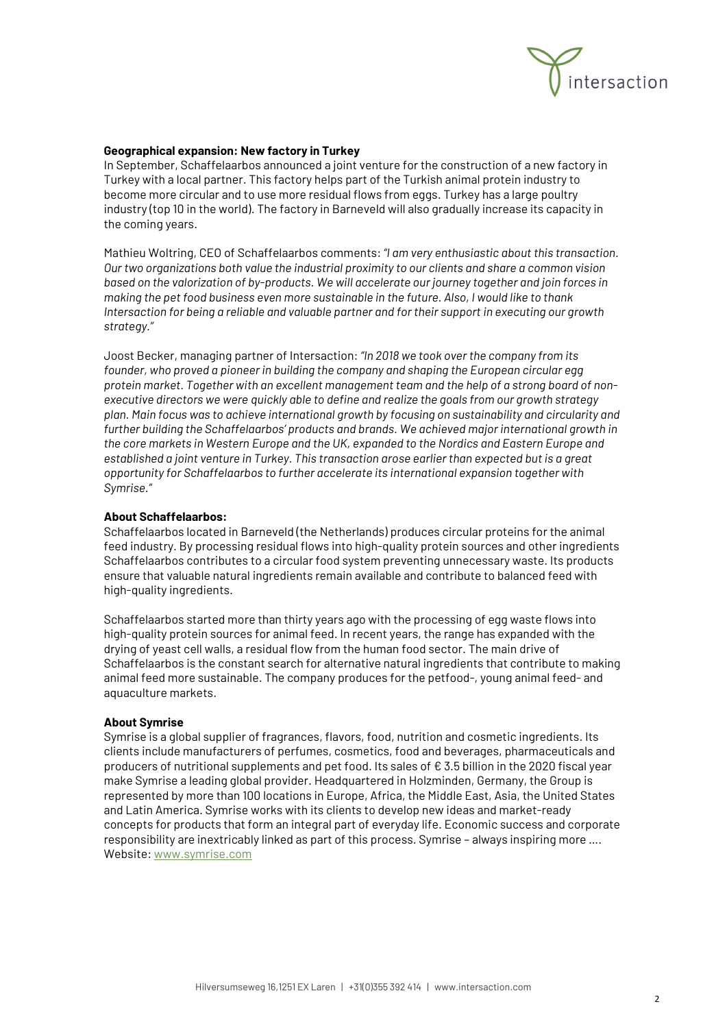

## **Geographical expansion: New factory in Turkey**

In September, Schaffelaarbos announced a joint venture for the construction of a new factory in Turkey with a local partner. This factory helps part of the Turkish animal protein industry to become more circular and to use more residual flows from eggs. Turkey has a large poultry industry (top 10 in the world). The factory in Barneveld will also gradually increase its capacity in the coming years.

Mathieu Woltring, CEO of Schaffelaarbos comments: *"I am very enthusiastic about this transaction. Our two organizations both value the industrial proximity to our clients and share a common vision based on the valorization of by-products. We will accelerate our journey together and join forces in making the pet food business even more sustainable in the future. Also, I would like to thank Intersaction for being a reliable and valuable partner and for their support in executing our growth strategy."*

Joost Becker, managing partner of Intersaction: *"In 2018 we took over the company from its founder, who proved a pioneer in building the company and shaping the European circular egg protein market. Together with an excellent management team and the help of a strong board of nonexecutive directors we were quickly able to define and realize the goals from our growth strategy plan. Main focus was to achieve international growth by focusing on sustainability and circularity and further building the Schaffelaarbos' products and brands. We achieved major international growth in the core markets in Western Europe and the UK, expanded to the Nordics and Eastern Europe and established a joint venture in Turkey. This transaction arose earlier than expected but is a great opportunity for Schaffelaarbos to further accelerate its international expansion together with Symrise."*

### **About Schaffelaarbos:**

Schaffelaarbos located in Barneveld (the Netherlands) produces circular proteins for the animal feed industry. By processing residual flows into high-quality protein sources and other ingredients Schaffelaarbos contributes to a circular food system preventing unnecessary waste. Its products ensure that valuable natural ingredients remain available and contribute to balanced feed with high-quality ingredients.

Schaffelaarbos started more than thirty years ago with the processing of egg waste flows into high-quality protein sources for animal feed. In recent years, the range has expanded with the drying of yeast cell walls, a residual flow from the human food sector. The main drive of Schaffelaarbos is the constant search for alternative natural ingredients that contribute to making animal feed more sustainable. The company produces for the petfood-, young animal feed- and aquaculture markets.

### **About Symrise**

Symrise is a global supplier of fragrances, flavors, food, nutrition and cosmetic ingredients. Its clients include manufacturers of perfumes, cosmetics, food and beverages, pharmaceuticals and producers of nutritional supplements and pet food. Its sales of € 3.5 billion in the 2020 fiscal year make Symrise a leading global provider. Headquartered in Holzminden, Germany, the Group is represented by more than 100 locations in Europe, Africa, the Middle East, Asia, the United States and Latin America. Symrise works with its clients to develop new ideas and market-ready concepts for products that form an integral part of everyday life. Economic success and corporate responsibility are inextricably linked as part of this process. Symrise – always inspiring more …. Website[: www.symrise.com](http://www.symrise.com/)